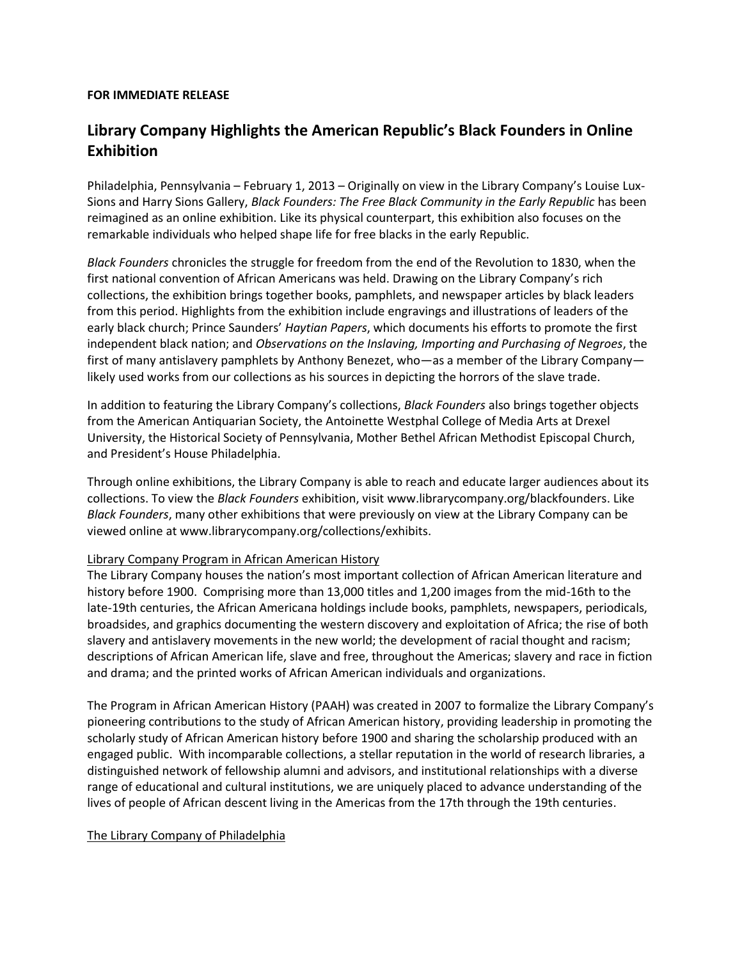## **FOR IMMEDIATE RELEASE**

## **Library Company Highlights the American Republic's Black Founders in Online Exhibition**

Philadelphia, Pennsylvania – February 1, 2013 – Originally on view in the Library Company's Louise Lux-Sions and Harry Sions Gallery, *Black Founders: The Free Black Community in the Early Republic* has been reimagined as an online exhibition. Like its physical counterpart, this exhibition also focuses on the remarkable individuals who helped shape life for free blacks in the early Republic.

*Black Founders* chronicles the struggle for freedom from the end of the Revolution to 1830, when the first national convention of African Americans was held. Drawing on the Library Company's rich collections, the exhibition brings together books, pamphlets, and newspaper articles by black leaders from this period. Highlights from the exhibition include engravings and illustrations of leaders of the early black church; Prince Saunders' *Haytian Papers*, which documents his efforts to promote the first independent black nation; and *Observations on the Inslaving, Importing and Purchasing of Negroes*, the first of many antislavery pamphlets by Anthony Benezet, who—as a member of the Library Company likely used works from our collections as his sources in depicting the horrors of the slave trade.

In addition to featuring the Library Company's collections, *Black Founders* also brings together objects from the American Antiquarian Society, the Antoinette Westphal College of Media Arts at Drexel University, the Historical Society of Pennsylvania, Mother Bethel African Methodist Episcopal Church, and President's House Philadelphia.

Through online exhibitions, the Library Company is able to reach and educate larger audiences about its collections. To view the *Black Founders* exhibition, visit www.librarycompany.org/blackfounders. Like *Black Founders*, many other exhibitions that were previously on view at the Library Company can be viewed online at www.librarycompany.org/collections/exhibits.

## Library Company Program in African American History

The Library Company houses the nation's most important collection of African American literature and history before 1900. Comprising more than 13,000 titles and 1,200 images from the mid-16th to the late-19th centuries, the African Americana holdings include books, pamphlets, newspapers, periodicals, broadsides, and graphics documenting the western discovery and exploitation of Africa; the rise of both slavery and antislavery movements in the new world; the development of racial thought and racism; descriptions of African American life, slave and free, throughout the Americas; slavery and race in fiction and drama; and the printed works of African American individuals and organizations.

The Program in African American History (PAAH) was created in 2007 to formalize the Library Company's pioneering contributions to the study of African American history, providing leadership in promoting the scholarly study of African American history before 1900 and sharing the scholarship produced with an engaged public. With incomparable collections, a stellar reputation in the world of research libraries, a distinguished network of fellowship alumni and advisors, and institutional relationships with a diverse range of educational and cultural institutions, we are uniquely placed to advance understanding of the lives of people of African descent living in the Americas from the 17th through the 19th centuries.

## The Library Company of Philadelphia